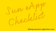#### **Making insurance applications easy**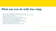### **What can you do with Sun eApp**

- Use our flexible navigation to enter information your way
- Apply for any Life or CI product, individual, joint, and corporate ownership
- eSign remotely and in-person
- Add attachments for new and inforce business
- Organize your open cases and Client actions in dashboards
- Book tele-interviews within the application
- Use Sun eApp to apply for multiple products at once
- Save applications and complete them on your schedule
- Explore Sun eApp's practice environment
- Make sure nothing is missed with smart input fields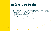## **Before you begin**

- Turn off your ad/pop up blockers. If they are left on, Sun eApp may not open for you.
- Ensure each Client who needs to sign has their own unique mobile phone number and email address. It's required to sign remotely. This includes:
	- Insureds aged 16 and over (18 and over in QC)
	- Parent/guardian for juvenile application
	- Parent/guardian is not the owner
- If corporately owned, please enter the corporation first as owner.
- If it's a conversion, Sun eApp doesn't support that yet. Please use paper application, E260.
- If it's an internal replacement, Sun eApp doesn't support that yet. Please use a paper application.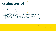## **Getting started**

- When adding a Client, add each only once and ensure you select all involvements that apply (e.g. 'insured' and 'signing officer,' instead of trying to add each involvement separately.)
- The first Client added to the eApp can't be deleted after saving. This includes their involvement(s).
- If a Client's involvement was not entered correctly and they are not the first Client entered, you will need to remove them and re-add them with their correct involvement(s).
	- Please note: Removing a Client will delete all answers previously entered for that Client.
- If submitting a Trial application:
	- Include the Client's Doctor's information so that the APS can be ordered
	- Indicate that Sun Life will order the medical requirements
	- In 'special instructions' on the 'Summary' screen, indicate that this is a 'trial application  $-$  no medical requirements to be ordered.'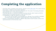# **Completing the application**

- If the Client will be completing a tele-interview, ask them to visit [sunlife.ca/tele.](http://www.sunlife.ca/tele) This content will help them prepare – leading to a more positive experience.
- On the payment screen, select the premium frequency first. Then select if the banking information will be provided 'now' or 'upon policy acceptance'.
- If the Client was born in a country not included in the drop-down list, select 'Canada' and list the country of birth in the 'special instructions' on the 'Summary' screen.
- For backdating, Sun eApp only supports up to 90 days.
	- Par, UL, Term and Perm plans can be backdated up to 180 days. If you would like to backdate more than 90 days, add the request in 'special instructions' on the 'Summary' screen.
- If there's a connected policy submitted in a different eApp, please include the policy number in the 'special instructions' on the 'Summary' screen.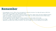### **Remember**

- If the application is for UL, PAR or Perm and applying for temporary insurance, Sun eApp will require an AML form (4830 or 4831) to be added in the 'Attachments' screen.
- If your Client is eligible and would like to apply for temporary insurance, please answer the three qualifying questions under the 'Evidence – Temporary insurance' section. If they qualify, you will be presented with the 'Offers' screen where you can add the temporary insurance.
- Once the application has been eSigned, it can't be unlocked. This means edits can't be made.
- As of Aug 31<sup>st</sup>, eSign will no longer be compatible with Internet Explorer. We recommend Chrome or Edge
- Applications will expire after 60 days of inactivity. They will no longer show on your dashboard once expired.